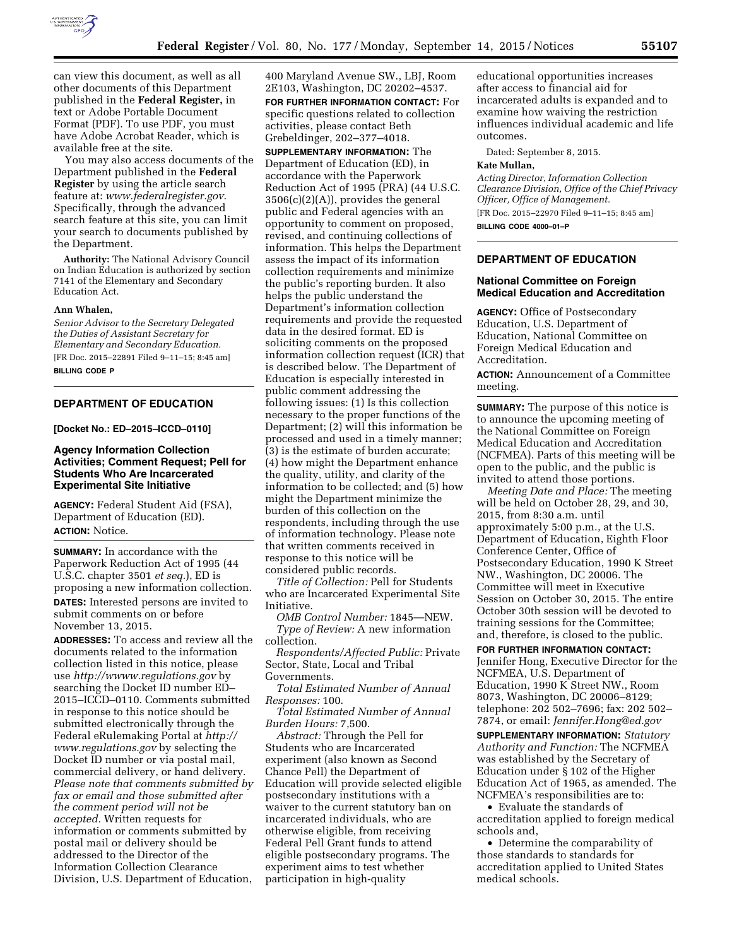

can view this document, as well as all other documents of this Department published in the **Federal Register,** in text or Adobe Portable Document Format (PDF). To use PDF, you must have Adobe Acrobat Reader, which is available free at the site.

You may also access documents of the Department published in the **Federal Register** by using the article search feature at: *[www.federalregister.gov](http://www.federalregister.gov)*. Specifically, through the advanced search feature at this site, you can limit your search to documents published by the Department.

**Authority:** The National Advisory Council on Indian Education is authorized by section 7141 of the Elementary and Secondary Education Act.

#### **Ann Whalen,**

*Senior Advisor to the Secretary Delegated the Duties of Assistant Secretary for Elementary and Secondary Education.*  [FR Doc. 2015–22891 Filed 9–11–15; 8:45 am]

**BILLING CODE P** 

## **DEPARTMENT OF EDUCATION**

**[Docket No.: ED–2015–ICCD–0110]** 

### **Agency Information Collection Activities; Comment Request; Pell for Students Who Are Incarcerated Experimental Site Initiative**

**AGENCY:** Federal Student Aid (FSA), Department of Education (ED). **ACTION:** Notice.

**SUMMARY:** In accordance with the Paperwork Reduction Act of 1995 (44 U.S.C. chapter 3501 *et seq.*), ED is proposing a new information collection. **DATES:** Interested persons are invited to submit comments on or before November 13, 2015.

**ADDRESSES:** To access and review all the documents related to the information collection listed in this notice, please use *<http://wwww.regulations.gov>*by searching the Docket ID number ED– 2015–ICCD–0110. Comments submitted in response to this notice should be submitted electronically through the Federal eRulemaking Portal at *[http://](http://www.regulations.gov) [www.regulations.gov](http://www.regulations.gov)* by selecting the Docket ID number or via postal mail, commercial delivery, or hand delivery. *Please note that comments submitted by fax or email and those submitted after the comment period will not be accepted.* Written requests for information or comments submitted by postal mail or delivery should be addressed to the Director of the Information Collection Clearance Division, U.S. Department of Education,

400 Maryland Avenue SW., LBJ, Room 2E103, Washington, DC 20202–4537. **FOR FURTHER INFORMATION CONTACT:** For specific questions related to collection activities, please contact Beth Grebeldinger, 202–377–4018.

**SUPPLEMENTARY INFORMATION:** The Department of Education (ED), in accordance with the Paperwork Reduction Act of 1995 (PRA) (44 U.S.C. 3506(c)(2)(A)), provides the general public and Federal agencies with an opportunity to comment on proposed, revised, and continuing collections of information. This helps the Department assess the impact of its information collection requirements and minimize the public's reporting burden. It also helps the public understand the Department's information collection requirements and provide the requested data in the desired format. ED is soliciting comments on the proposed information collection request (ICR) that is described below. The Department of Education is especially interested in public comment addressing the following issues: (1) Is this collection necessary to the proper functions of the Department; (2) will this information be processed and used in a timely manner; (3) is the estimate of burden accurate; (4) how might the Department enhance the quality, utility, and clarity of the information to be collected; and (5) how might the Department minimize the burden of this collection on the respondents, including through the use of information technology. Please note that written comments received in response to this notice will be considered public records.

*Title of Collection:* Pell for Students who are Incarcerated Experimental Site Initiative.

*OMB Control Number:* 1845—NEW. *Type of Review:* A new information collection.

*Respondents/Affected Public:* Private Sector, State, Local and Tribal Governments.

*Total Estimated Number of Annual Responses:* 100.

*Total Estimated Number of Annual Burden Hours:* 7,500.

*Abstract:* Through the Pell for Students who are Incarcerated experiment (also known as Second Chance Pell) the Department of Education will provide selected eligible postsecondary institutions with a waiver to the current statutory ban on incarcerated individuals, who are otherwise eligible, from receiving Federal Pell Grant funds to attend eligible postsecondary programs. The experiment aims to test whether participation in high-quality

educational opportunities increases after access to financial aid for incarcerated adults is expanded and to examine how waiving the restriction influences individual academic and life outcomes.

Dated: September 8, 2015.

#### **Kate Mullan,**

*Acting Director, Information Collection Clearance Division, Office of the Chief Privacy Officer, Office of Management.*  [FR Doc. 2015–22970 Filed 9–11–15; 8:45 am]

**BILLING CODE 4000–01–P** 

# **DEPARTMENT OF EDUCATION**

### **National Committee on Foreign Medical Education and Accreditation**

**AGENCY:** Office of Postsecondary Education, U.S. Department of Education, National Committee on Foreign Medical Education and Accreditation.

**ACTION:** Announcement of a Committee meeting.

**SUMMARY:** The purpose of this notice is to announce the upcoming meeting of the National Committee on Foreign Medical Education and Accreditation (NCFMEA). Parts of this meeting will be open to the public, and the public is invited to attend those portions.

*Meeting Date and Place:* The meeting will be held on October 28, 29, and 30, 2015, from 8:30 a.m. until approximately 5:00 p.m., at the U.S. Department of Education, Eighth Floor Conference Center, Office of Postsecondary Education, 1990 K Street NW., Washington, DC 20006. The Committee will meet in Executive Session on October 30, 2015. The entire October 30th session will be devoted to training sessions for the Committee; and, therefore, is closed to the public.

**FOR FURTHER INFORMATION CONTACT:**  Jennifer Hong, Executive Director for the NCFMEA, U.S. Department of Education, 1990 K Street NW., Room 8073, Washington, DC 20006–8129; telephone: 202 502–7696; fax: 202 502– 7874, or email: *[Jennifer.Hong@ed.gov](mailto:Jennifer.Hong@ed.gov)* 

**SUPPLEMENTARY INFORMATION:** *Statutory Authority and Function:* The NCFMEA was established by the Secretary of Education under § 102 of the Higher Education Act of 1965, as amended. The NCFMEA's responsibilities are to:

• Evaluate the standards of accreditation applied to foreign medical schools and,

• Determine the comparability of those standards to standards for accreditation applied to United States medical schools.